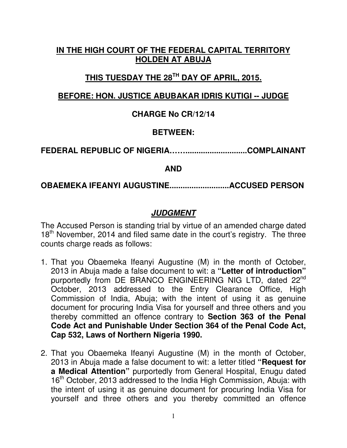## **IN THE HIGH COURT OF THE FEDERAL CAPITAL TERRITORY HOLDEN AT ABUJA**

# **THIS TUESDAY THE 28TH DAY OF APRIL, 2015.**

## **BEFORE: HON. JUSTICE ABUBAKAR IDRIS KUTIGI -- JUDGE**

### **CHARGE No CR/12/14**

### **BETWEEN:**

**FEDERAL REPUBLIC OF NIGERIA……............................COMPLAINANT** 

**AND** 

**OBAEMEKA IFEANYI AUGUSTINE...........................ACCUSED PERSON** 

## **JUDGMENT**

The Accused Person is standing trial by virtue of an amended charge dated 18<sup>th</sup> November, 2014 and filed same date in the court's registry. The three counts charge reads as follows:

- 1. That you Obaemeka Ifeanyi Augustine (M) in the month of October, 2013 in Abuja made a false document to wit: a **"Letter of introduction"**  purportedly from DE BRANCO ENGINEERING NIG LTD, dated 22<sup>nd</sup> October, 2013 addressed to the Entry Clearance Office, High Commission of India, Abuja; with the intent of using it as genuine document for procuring India Visa for yourself and three others and you thereby committed an offence contrary to **Section 363 of the Penal Code Act and Punishable Under Section 364 of the Penal Code Act, Cap 532, Laws of Northern Nigeria 1990.**
- 2. That you Obaemeka Ifeanyi Augustine (M) in the month of October, 2013 in Abuja made a false document to wit: a letter titled **"Request for a Medical Attention"** purportedly from General Hospital, Enugu dated 16<sup>th</sup> October, 2013 addressed to the India High Commission, Abuja: with the intent of using it as genuine document for procuring India Visa for yourself and three others and you thereby committed an offence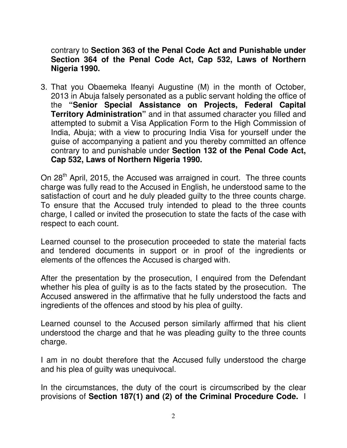contrary to **Section 363 of the Penal Code Act and Punishable under Section 364 of the Penal Code Act, Cap 532, Laws of Northern Nigeria 1990.**

3. That you Obaemeka Ifeanyi Augustine (M) in the month of October, 2013 in Abuja falsely personated as a public servant holding the office of the **"Senior Special Assistance on Projects, Federal Capital Territory Administration"** and in that assumed character you filled and attempted to submit a Visa Application Form to the High Commission of India, Abuja; with a view to procuring India Visa for yourself under the guise of accompanying a patient and you thereby committed an offence contrary to and punishable under **Section 132 of the Penal Code Act, Cap 532, Laws of Northern Nigeria 1990.**

On 28<sup>th</sup> April, 2015, the Accused was arraigned in court. The three counts charge was fully read to the Accused in English, he understood same to the satisfaction of court and he duly pleaded guilty to the three counts charge. To ensure that the Accused truly intended to plead to the three counts charge, I called or invited the prosecution to state the facts of the case with respect to each count.

Learned counsel to the prosecution proceeded to state the material facts and tendered documents in support or in proof of the ingredients or elements of the offences the Accused is charged with.

After the presentation by the prosecution, I enquired from the Defendant whether his plea of guilty is as to the facts stated by the prosecution. The Accused answered in the affirmative that he fully understood the facts and ingredients of the offences and stood by his plea of guilty.

Learned counsel to the Accused person similarly affirmed that his client understood the charge and that he was pleading guilty to the three counts charge.

I am in no doubt therefore that the Accused fully understood the charge and his plea of guilty was unequivocal.

In the circumstances, the duty of the court is circumscribed by the clear provisions of **Section 187(1) and (2) of the Criminal Procedure Code.** I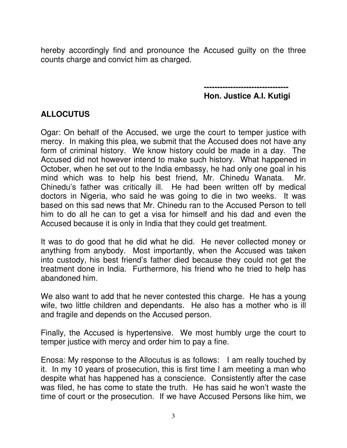hereby accordingly find and pronounce the Accused guilty on the three counts charge and convict him as charged.

> **-------------------------------- Hon. Justice A.I. Kutigi**

### **ALLOCUTUS**

Ogar: On behalf of the Accused, we urge the court to temper justice with mercy. In making this plea, we submit that the Accused does not have any form of criminal history. We know history could be made in a day. The Accused did not however intend to make such history. What happened in October, when he set out to the India embassy, he had only one goal in his mind which was to help his best friend, Mr. Chinedu Wanata. Mr. Chinedu's father was critically ill. He had been written off by medical doctors in Nigeria, who said he was going to die in two weeks. It was based on this sad news that Mr. Chinedu ran to the Accused Person to tell him to do all he can to get a visa for himself and his dad and even the Accused because it is only in India that they could get treatment.

It was to do good that he did what he did. He never collected money or anything from anybody. Most importantly, when the Accused was taken into custody, his best friend's father died because they could not get the treatment done in India. Furthermore, his friend who he tried to help has abandoned him.

We also want to add that he never contested this charge. He has a young wife, two little children and dependants. He also has a mother who is ill and fragile and depends on the Accused person.

Finally, the Accused is hypertensive. We most humbly urge the court to temper justice with mercy and order him to pay a fine.

Enosa: My response to the Allocutus is as follows: I am really touched by it. In my 10 years of prosecution, this is first time I am meeting a man who despite what has happened has a conscience. Consistently after the case was filed, he has come to state the truth. He has said he won't waste the time of court or the prosecution. If we have Accused Persons like him, we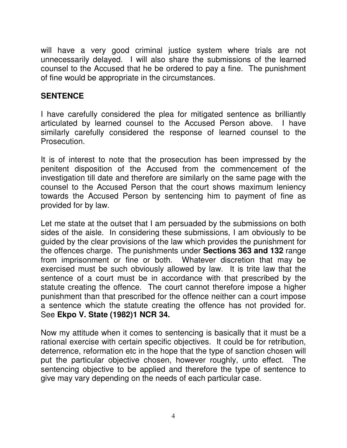will have a very good criminal justice system where trials are not unnecessarily delayed. I will also share the submissions of the learned counsel to the Accused that he be ordered to pay a fine. The punishment of fine would be appropriate in the circumstances.

### **SENTENCE**

I have carefully considered the plea for mitigated sentence as brilliantly articulated by learned counsel to the Accused Person above. I have similarly carefully considered the response of learned counsel to the Prosecution.

It is of interest to note that the prosecution has been impressed by the penitent disposition of the Accused from the commencement of the investigation till date and therefore are similarly on the same page with the counsel to the Accused Person that the court shows maximum leniency towards the Accused Person by sentencing him to payment of fine as provided for by law.

Let me state at the outset that I am persuaded by the submissions on both sides of the aisle. In considering these submissions, I am obviously to be guided by the clear provisions of the law which provides the punishment for the offences charge. The punishments under **Sections 363 and 132** range from imprisonment or fine or both. Whatever discretion that may be exercised must be such obviously allowed by law. It is trite law that the sentence of a court must be in accordance with that prescribed by the statute creating the offence. The court cannot therefore impose a higher punishment than that prescribed for the offence neither can a court impose a sentence which the statute creating the offence has not provided for. See **Ekpo V. State (1982)1 NCR 34.** 

Now my attitude when it comes to sentencing is basically that it must be a rational exercise with certain specific objectives. It could be for retribution, deterrence, reformation etc in the hope that the type of sanction chosen will put the particular objective chosen, however roughly, unto effect. The sentencing objective to be applied and therefore the type of sentence to give may vary depending on the needs of each particular case.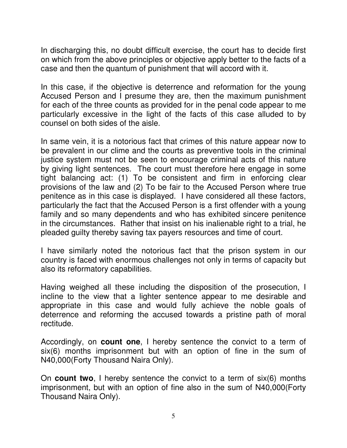In discharging this, no doubt difficult exercise, the court has to decide first on which from the above principles or objective apply better to the facts of a case and then the quantum of punishment that will accord with it.

In this case, if the objective is deterrence and reformation for the young Accused Person and I presume they are, then the maximum punishment for each of the three counts as provided for in the penal code appear to me particularly excessive in the light of the facts of this case alluded to by counsel on both sides of the aisle.

In same vein, it is a notorious fact that crimes of this nature appear now to be prevalent in our clime and the courts as preventive tools in the criminal justice system must not be seen to encourage criminal acts of this nature by giving light sentences. The court must therefore here engage in some tight balancing act: (1) To be consistent and firm in enforcing clear provisions of the law and (2) To be fair to the Accused Person where true penitence as in this case is displayed. I have considered all these factors, particularly the fact that the Accused Person is a first offender with a young family and so many dependents and who has exhibited sincere penitence in the circumstances. Rather that insist on his inalienable right to a trial, he pleaded guilty thereby saving tax payers resources and time of court.

I have similarly noted the notorious fact that the prison system in our country is faced with enormous challenges not only in terms of capacity but also its reformatory capabilities.

Having weighed all these including the disposition of the prosecution, I incline to the view that a lighter sentence appear to me desirable and appropriate in this case and would fully achieve the noble goals of deterrence and reforming the accused towards a pristine path of moral rectitude.

Accordingly, on **count one**, I hereby sentence the convict to a term of six(6) months imprisonment but with an option of fine in the sum of N40,000(Forty Thousand Naira Only).

On **count two**, I hereby sentence the convict to a term of six(6) months imprisonment, but with an option of fine also in the sum of N40,000(Forty Thousand Naira Only).